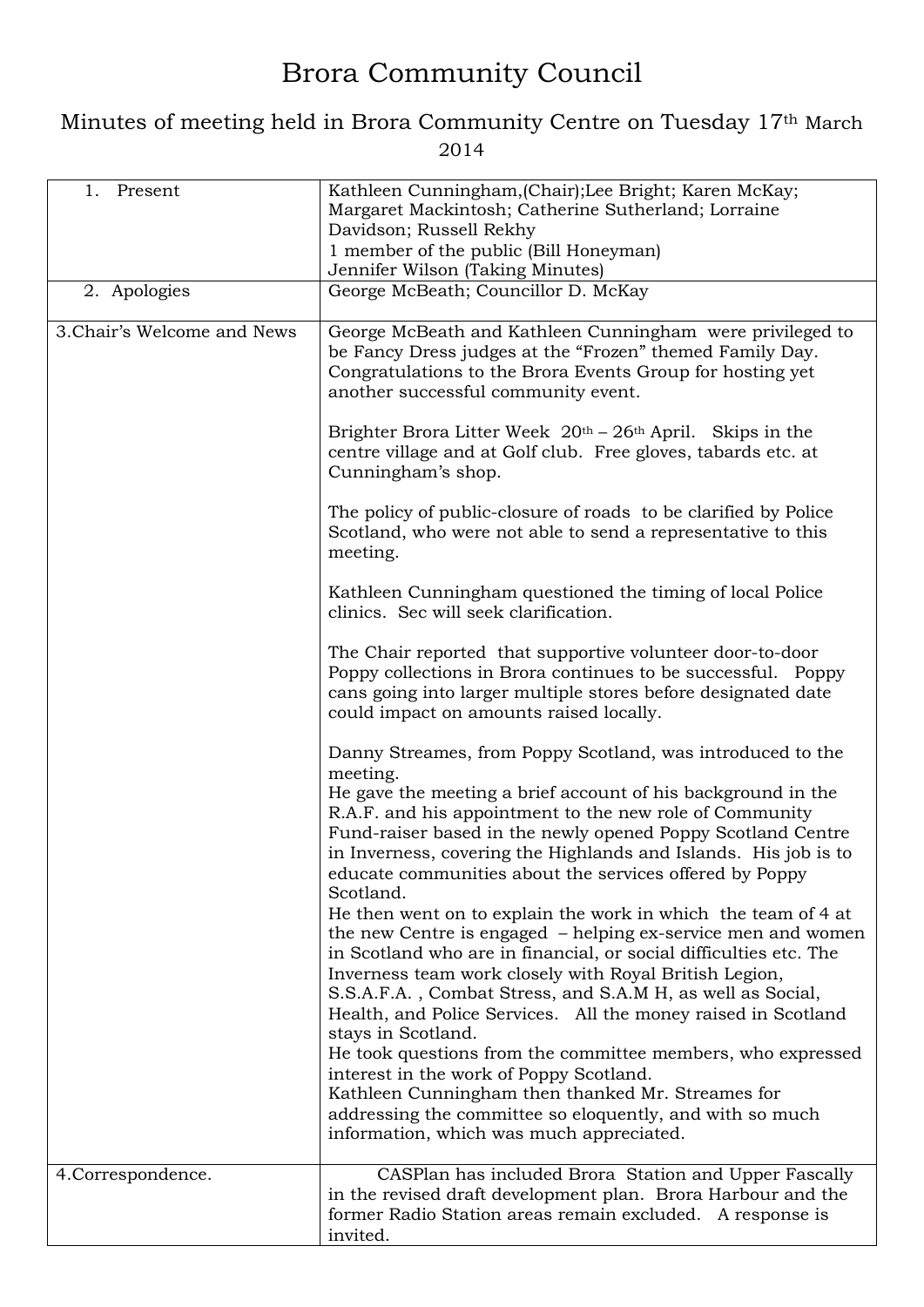## Brora Community Council

## Minutes of meeting held in Brora Community Centre on Tuesday 17th March 2014

| Present<br>1.               | Kathleen Cunningham, (Chair); Lee Bright; Karen McKay;<br>Margaret Mackintosh; Catherine Sutherland; Lorraine<br>Davidson; Russell Rekhy<br>1 member of the public (Bill Honeyman)<br>Jennifer Wilson (Taking Minutes)                                                                                                                                                                                                                                                                                                                                                                                                                                                                                                                                                                                                                                                                                                                                                                                                                                                                                  |
|-----------------------------|---------------------------------------------------------------------------------------------------------------------------------------------------------------------------------------------------------------------------------------------------------------------------------------------------------------------------------------------------------------------------------------------------------------------------------------------------------------------------------------------------------------------------------------------------------------------------------------------------------------------------------------------------------------------------------------------------------------------------------------------------------------------------------------------------------------------------------------------------------------------------------------------------------------------------------------------------------------------------------------------------------------------------------------------------------------------------------------------------------|
| 2. Apologies                | George McBeath; Councillor D. McKay                                                                                                                                                                                                                                                                                                                                                                                                                                                                                                                                                                                                                                                                                                                                                                                                                                                                                                                                                                                                                                                                     |
| 3. Chair's Welcome and News | George McBeath and Kathleen Cunningham were privileged to<br>be Fancy Dress judges at the "Frozen" themed Family Day.<br>Congratulations to the Brora Events Group for hosting yet<br>another successful community event.                                                                                                                                                                                                                                                                                                                                                                                                                                                                                                                                                                                                                                                                                                                                                                                                                                                                               |
|                             | Brighter Brora Litter Week $20th - 26th$ April. Skips in the<br>centre village and at Golf club. Free gloves, tabards etc. at<br>Cunningham's shop.                                                                                                                                                                                                                                                                                                                                                                                                                                                                                                                                                                                                                                                                                                                                                                                                                                                                                                                                                     |
|                             | The policy of public-closure of roads to be clarified by Police<br>Scotland, who were not able to send a representative to this<br>meeting.                                                                                                                                                                                                                                                                                                                                                                                                                                                                                                                                                                                                                                                                                                                                                                                                                                                                                                                                                             |
|                             | Kathleen Cunningham questioned the timing of local Police<br>clinics. Sec will seek clarification.                                                                                                                                                                                                                                                                                                                                                                                                                                                                                                                                                                                                                                                                                                                                                                                                                                                                                                                                                                                                      |
|                             | The Chair reported that supportive volunteer door-to-door<br>Poppy collections in Brora continues to be successful. Poppy<br>cans going into larger multiple stores before designated date<br>could impact on amounts raised locally.                                                                                                                                                                                                                                                                                                                                                                                                                                                                                                                                                                                                                                                                                                                                                                                                                                                                   |
|                             | Danny Streames, from Poppy Scotland, was introduced to the<br>meeting.<br>He gave the meeting a brief account of his background in the<br>R.A.F. and his appointment to the new role of Community<br>Fund-raiser based in the newly opened Poppy Scotland Centre<br>in Inverness, covering the Highlands and Islands. His job is to<br>educate communities about the services offered by Poppy<br>Scotland.<br>He then went on to explain the work in which the team of 4 at<br>the new Centre is engaged – helping ex-service men and women<br>in Scotland who are in financial, or social difficulties etc. The<br>Inverness team work closely with Royal British Legion,<br>S.S.A.F.A., Combat Stress, and S.A.M H, as well as Social,<br>Health, and Police Services. All the money raised in Scotland<br>stays in Scotland.<br>He took questions from the committee members, who expressed<br>interest in the work of Poppy Scotland.<br>Kathleen Cunningham then thanked Mr. Streames for<br>addressing the committee so eloquently, and with so much<br>information, which was much appreciated. |
| 4. Correspondence.          | CASPlan has included Brora Station and Upper Fascally                                                                                                                                                                                                                                                                                                                                                                                                                                                                                                                                                                                                                                                                                                                                                                                                                                                                                                                                                                                                                                                   |
|                             | in the revised draft development plan. Brora Harbour and the<br>former Radio Station areas remain excluded. A response is<br>invited.                                                                                                                                                                                                                                                                                                                                                                                                                                                                                                                                                                                                                                                                                                                                                                                                                                                                                                                                                                   |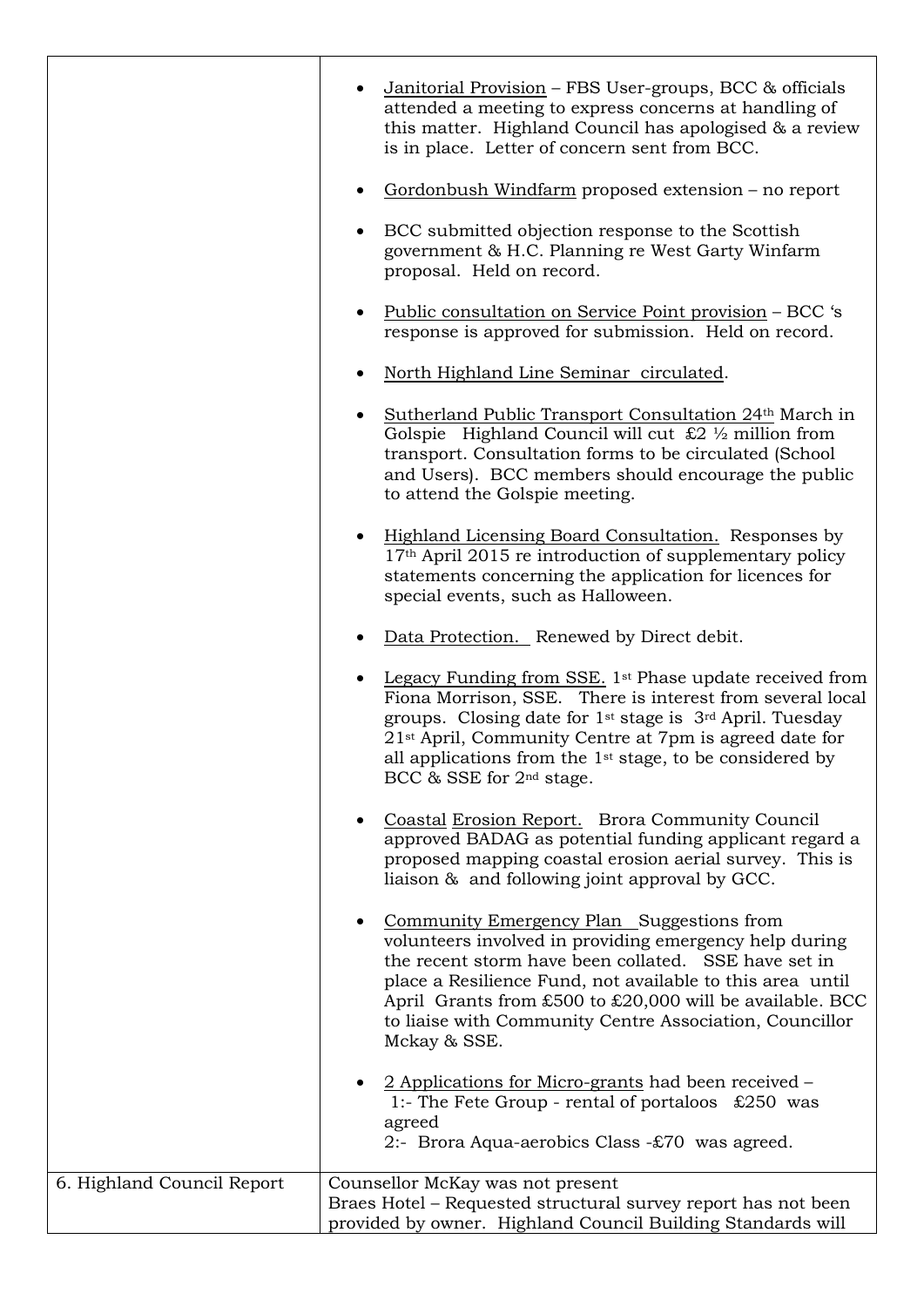|                            | Janitorial Provision - FBS User-groups, BCC & officials<br>attended a meeting to express concerns at handling of<br>this matter. Highland Council has apologised & a review<br>is in place. Letter of concern sent from BCC.                                                                                                                                                                     |
|----------------------------|--------------------------------------------------------------------------------------------------------------------------------------------------------------------------------------------------------------------------------------------------------------------------------------------------------------------------------------------------------------------------------------------------|
|                            | Gordonbush Windfarm proposed extension – no report                                                                                                                                                                                                                                                                                                                                               |
|                            | BCC submitted objection response to the Scottish<br>government & H.C. Planning re West Garty Winfarm<br>proposal. Held on record.                                                                                                                                                                                                                                                                |
|                            | <u> Public consultation on Service Point provision</u> – BCC 's<br>response is approved for submission. Held on record.                                                                                                                                                                                                                                                                          |
|                            | North Highland Line Seminar circulated.                                                                                                                                                                                                                                                                                                                                                          |
|                            | Sutherland Public Transport Consultation 24th March in<br>Golspie Highland Council will cut $\&$ 2 1/2 million from<br>transport. Consultation forms to be circulated (School<br>and Users). BCC members should encourage the public<br>to attend the Golspie meeting.                                                                                                                           |
|                            | Highland Licensing Board Consultation. Responses by<br>17 <sup>th</sup> April 2015 re introduction of supplementary policy<br>statements concerning the application for licences for<br>special events, such as Halloween.                                                                                                                                                                       |
|                            | Data Protection. Renewed by Direct debit.                                                                                                                                                                                                                                                                                                                                                        |
|                            | Legacy Funding from SSE. 1 <sup>st</sup> Phase update received from<br>Fiona Morrison, SSE. There is interest from several local<br>groups. Closing date for 1 <sup>st</sup> stage is 3 <sup>rd</sup> April. Tuesday<br>21 <sup>st</sup> April, Community Centre at 7pm is agreed date for<br>all applications from the $1st$ stage, to be considered by<br>BCC & SSE for 2 <sup>nd</sup> stage. |
|                            | Coastal Erosion Report. Brora Community Council<br>approved BADAG as potential funding applicant regard a<br>proposed mapping coastal erosion aerial survey. This is<br>liaison & and following joint approval by GCC.                                                                                                                                                                           |
|                            | Community Emergency Plan Suggestions from<br>volunteers involved in providing emergency help during<br>the recent storm have been collated. SSE have set in<br>place a Resilience Fund, not available to this area until<br>April Grants from £500 to £20,000 will be available. BCC<br>to liaise with Community Centre Association, Councillor<br>Mckay & SSE.                                  |
|                            | 2 Applications for Micro-grants had been received –<br>1:- The Fete Group - rental of portaloos $£250$ was<br>agreed<br>2:- Brora Aqua-aerobics Class -£70 was agreed.                                                                                                                                                                                                                           |
| 6. Highland Council Report | Counsellor McKay was not present                                                                                                                                                                                                                                                                                                                                                                 |
|                            | Braes Hotel - Requested structural survey report has not been<br>provided by owner. Highland Council Building Standards will                                                                                                                                                                                                                                                                     |